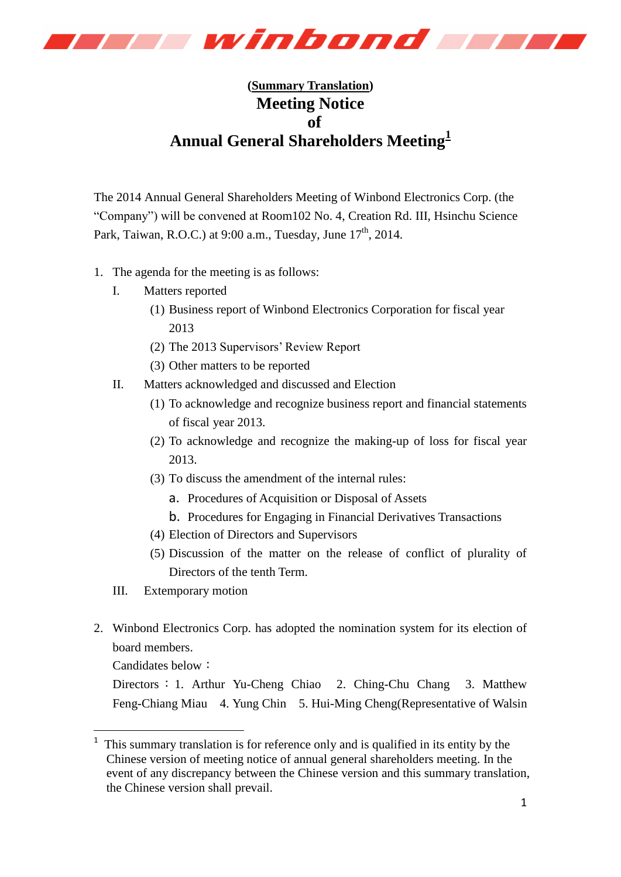

## **(Summary Translation) Meeting Notice of Annual General Shareholders Meeting<sup>1</sup>**

The 2014 Annual General Shareholders Meeting of Winbond Electronics Corp. (the "Company") will be convened at Room102 No. 4, Creation Rd. III, Hsinchu Science Park, Taiwan, R.O.C.) at 9:00 a.m., Tuesday, June 17<sup>th</sup>, 2014.

- 1. The agenda for the meeting is as follows:
	- I. Matters reported
		- (1) Business report of Winbond Electronics Corporation for fiscal year 2013
		- (2) The 2013 Supervisors' Review Report
		- (3) Other matters to be reported
	- II. Matters acknowledged and discussed and Election
		- (1) To acknowledge and recognize business report and financial statements of fiscal year 2013.
		- (2) To acknowledge and recognize the making-up of loss for fiscal year 2013.
		- (3) To discuss the amendment of the internal rules:
			- a. Procedures of Acquisition or Disposal of Assets
			- b. Procedures for Engaging in Financial Derivatives Transactions
		- (4) Election of Directors and Supervisors
		- (5) Discussion of the matter on the release of conflict of plurality of Directors of the tenth Term.
	- III. Extemporary motion
- 2. Winbond Electronics Corp. has adopted the nomination system for its election of board members.

Candidates below:

-

Directors: 1. Arthur Yu-Cheng Chiao 2. Ching-Chu Chang 3. Matthew Feng-Chiang Miau 4. Yung Chin 5. Hui-Ming Cheng(Representative of Walsin

<sup>&</sup>lt;sup>1</sup> This summary translation is for reference only and is qualified in its entity by the Chinese version of meeting notice of annual general shareholders meeting. In the event of any discrepancy between the Chinese version and this summary translation, the Chinese version shall prevail.